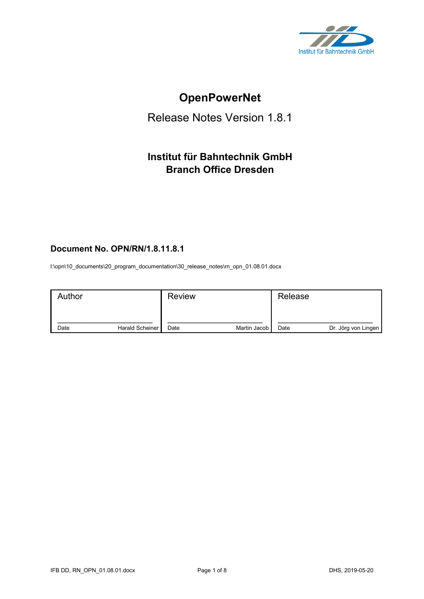

# **OpenPowerNet**

# Release Notes Version 1.8.1

# **Institut für Bahntechnik GmbH Branch Office Dresden**

# **Document No. OPN/RN/1.8.11.8.1**

l:\opn\10\_documents\20\_program\_documentation\30\_release\_notes\rn\_opn\_01.08.01.docx

| Author |                 | <b>Review</b> |              | Release |                     |
|--------|-----------------|---------------|--------------|---------|---------------------|
| Date   | Harald Scheiner | Date          | Martin Jacob | Date    | Dr. Jörg von Lingen |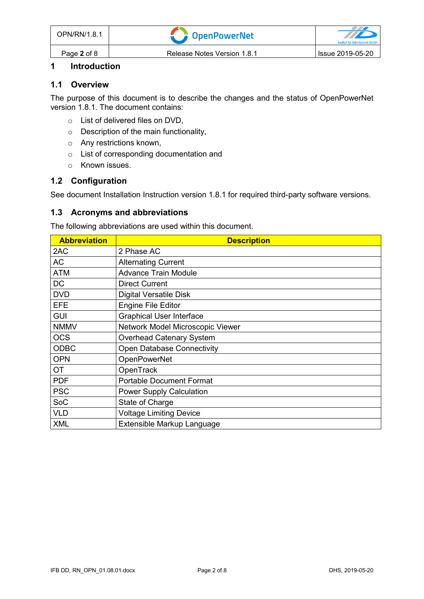### **1 Introduction**

#### **1.1 Overview**

The purpose of this document is to describe the changes and the status of OpenPowerNet version 1.8.1. The document contains:

- o List of delivered files on DVD,
- o Description of the main functionality,
- o Any restrictions known,
- o List of corresponding documentation and
- o Known issues.

## **1.2 Configuration**

See document Installation Instruction version 1.8.1 for required third-party software versions.

#### **1.3 Acronyms and abbreviations**

The following abbreviations are used within this document.

| <b>Abbreviation</b> | <b>Description</b>                |
|---------------------|-----------------------------------|
| 2AC                 | 2 Phase AC                        |
| <b>AC</b>           | <b>Alternating Current</b>        |
| <b>ATM</b>          | <b>Advance Train Module</b>       |
| <b>DC</b>           | <b>Direct Current</b>             |
| <b>DVD</b>          | <b>Digital Versatile Disk</b>     |
| <b>EFE</b>          | <b>Engine File Editor</b>         |
| <b>GUI</b>          | <b>Graphical User Interface</b>   |
| <b>NMMV</b>         | Network Model Microscopic Viewer  |
| <b>OCS</b>          | <b>Overhead Catenary System</b>   |
| <b>ODBC</b>         | <b>Open Database Connectivity</b> |
| <b>OPN</b>          | <b>OpenPowerNet</b>               |
| <b>OT</b>           | OpenTrack                         |
| <b>PDF</b>          | <b>Portable Document Format</b>   |
| <b>PSC</b>          | <b>Power Supply Calculation</b>   |
| SoC                 | State of Charge                   |
| <b>VLD</b>          | <b>Voltage Limiting Device</b>    |
| <b>XML</b>          | Extensible Markup Language        |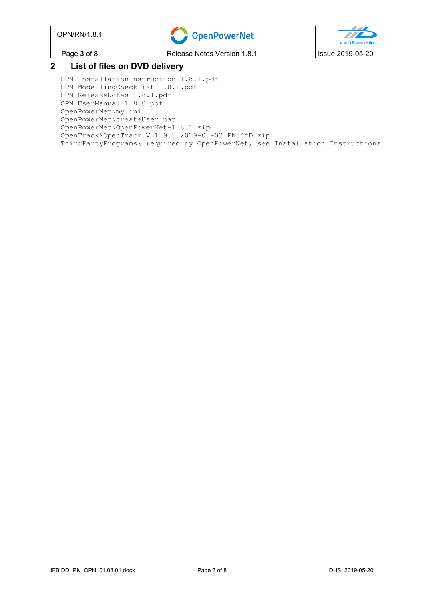| OPN/RN/1.8.1                  | <b>OpenPowerNet</b>                                                                                                                                                                                                                                                                                                                                                                                             | $\overline{U}$<br>Institut für Bahntechnik GmbH |  |  |
|-------------------------------|-----------------------------------------------------------------------------------------------------------------------------------------------------------------------------------------------------------------------------------------------------------------------------------------------------------------------------------------------------------------------------------------------------------------|-------------------------------------------------|--|--|
| Page 3 of 8                   | Release Notes Version 1.8.1                                                                                                                                                                                                                                                                                                                                                                                     | Issue 2019-05-20                                |  |  |
| List of files on DVD delivery |                                                                                                                                                                                                                                                                                                                                                                                                                 |                                                 |  |  |
|                               | OPN InstallationInstruction 1.8.1.pdf<br>$\bigcap_{i=1}^{n} M_i$ , $\bigcup_{i=1}^{n} \bigcup_{i=1}^{n} M_i$ , $\bigcap_{i=1}^{n} \bigcup_{i=1}^{n} \bigcap_{i=1}^{n} \bigcap_{i=1}^{n} \bigcap_{i=1}^{n} \bigcap_{i=1}^{n} \bigcap_{i=1}^{n} \bigcap_{i=1}^{n} \bigcap_{i=1}^{n} \bigcap_{i=1}^{n} \bigcap_{i=1}^{n} \bigcap_{i=1}^{n} \bigcap_{i=1}^{n} \bigcap_{i=1}^{n} \bigcap_{i=1}^{n} \bigcap_{i=1}^{n$ |                                                 |  |  |

OPN ModellingCheckList 1.8.1.pdf OPN ReleaseNotes 1.8.1.pdf OPN\_UserManual\_1.8.0.pdf OpenPowerNet\my.ini OpenPowerNet\createUser.bat OpenPowerNet\OpenPowerNet-1.8.1.zip OpenTrack\OpenTrack.V\_1.9.5.2019-05-02.Ph34fD.zip ThirdPartyPrograms\ required by OpenPowerNet, see Installation Instructions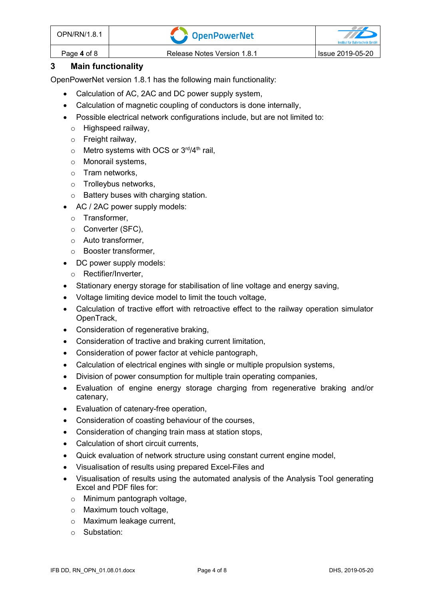| OPN/RN/1.8.1       | <b>CopenPowerNet</b>        | Institut für Bahntechnik GmbH |
|--------------------|-----------------------------|-------------------------------|
| Page <b>4</b> of 8 | Release Notes Version 1.8.1 | lssue 2019-05-20              |

### **3 Main functionality**

OpenPowerNet version 1.8.1 has the following main functionality:

- Calculation of AC, 2AC and DC power supply system,
- Calculation of magnetic coupling of conductors is done internally,
- Possible electrical network configurations include, but are not limited to:
	- o Highspeed railway,
	- $\circ$  Freight railway,
	- $\circ$  Metro systems with OCS or 3<sup>rd</sup>/4<sup>th</sup> rail,
	- o Monorail systems,
	- o Tram networks,
	- o Trolleybus networks,
	- o Battery buses with charging station.
- AC / 2AC power supply models:
	- o Transformer,
	- o Converter (SFC),
	- o Auto transformer,
	- o Booster transformer,
- DC power supply models:
	- o Rectifier/Inverter,
- Stationary energy storage for stabilisation of line voltage and energy saving,
- Voltage limiting device model to limit the touch voltage,
- Calculation of tractive effort with retroactive effect to the railway operation simulator OpenTrack,
- Consideration of regenerative braking,
- Consideration of tractive and braking current limitation,
- Consideration of power factor at vehicle pantograph,
- Calculation of electrical engines with single or multiple propulsion systems,
- Division of power consumption for multiple train operating companies,
- Evaluation of engine energy storage charging from regenerative braking and/or catenary,
- Evaluation of catenary-free operation,
- Consideration of coasting behaviour of the courses,
- Consideration of changing train mass at station stops,
- Calculation of short circuit currents,
- Quick evaluation of network structure using constant current engine model,
- Visualisation of results using prepared Excel-Files and
- Visualisation of results using the automated analysis of the Analysis Tool generating Excel and PDF files for:
	- o Minimum pantograph voltage,
	- o Maximum touch voltage,
	- o Maximum leakage current,
	- o Substation: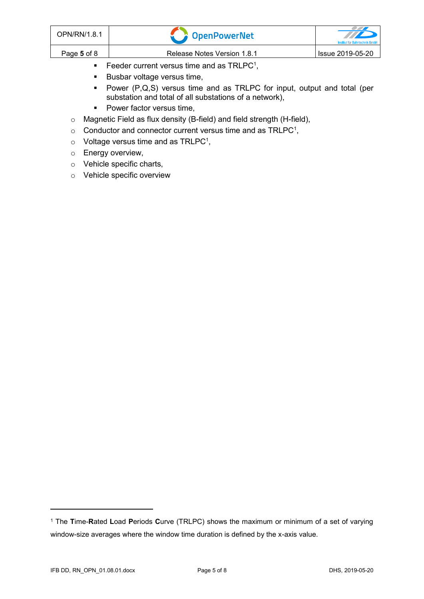| OPN/RN/1.8.1 | CopenPowerNet               | <b>TTP</b><br>Institut für Bahntechnik GmbH |
|--------------|-----------------------------|---------------------------------------------|
| Page 5 of 8  | Release Notes Version 1.8.1 | Issue 2019-05-20                            |

- <span id="page-4-0"></span> $\blacksquare$  Feeder current versus time and as TRLPC<sup>1</sup>,
- Busbar voltage versus time,
- Power (P,Q,S) versus time and as TRLPC for input, output and total (per substation and total of all substations of a network),
- Power factor versus time,
- o Magnetic Field as flux density (B-field) and field strength (H-field),
- $\circ$  [C](#page-4-0)onductor and connector current versus time and as TRLPC<sup>1</sup>,
- $\circ$  Voltage versus time and as TRLPC<sup>[1](#page-4-0)</sup>,
- o Energy overview,
- o Vehicle specific charts,
- o Vehicle specific overview

<sup>1</sup> The **T**ime-**R**ated **L**oad **P**eriods **C**urve (TRLPC) shows the maximum or minimum of a set of varying window-size averages where the window time duration is defined by the x-axis value.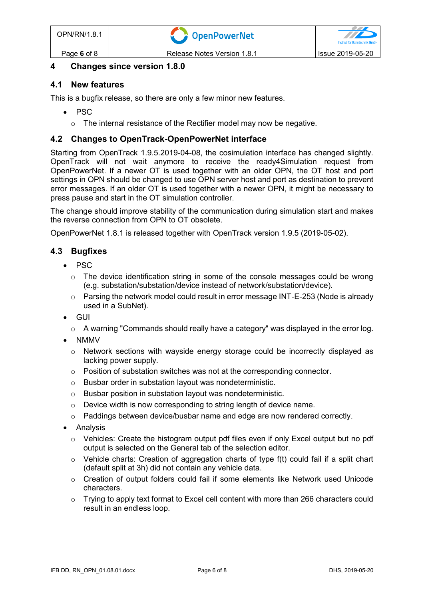#### **4 Changes since version 1.8.0**

#### **4.1 New features**

This is a bugfix release, so there are only a few minor new features.

- PSC
	- $\circ$  The internal resistance of the Rectifier model may now be negative.

#### **4.2 Changes to OpenTrack-OpenPowerNet interface**

Starting from OpenTrack 1.9.5.2019-04-08, the cosimulation interface has changed slightly. OpenTrack will not wait anymore to receive the ready4Simulation request from OpenPowerNet. If a newer OT is used together with an older OPN, the OT host and port settings in OPN should be changed to use OPN server host and port as destination to prevent error messages. If an older OT is used together with a newer OPN, it might be necessary to press pause and start in the OT simulation controller.

The change should improve stability of the communication during simulation start and makes the reverse connection from OPN to OT obsolete.

OpenPowerNet 1.8.1 is released together with OpenTrack version 1.9.5 (2019-05-02).

#### **4.3 Bugfixes**

- PSC
	- $\circ$  The device identification string in some of the console messages could be wrong (e.g. substation/substation/device instead of network/substation/device).
	- $\circ$  Parsing the network model could result in error message INT-E-253 (Node is already used in a SubNet).
- GUI
	- o A warning "Commands should really have a category" was displayed in the error log.
- NMMV
	- $\circ$  Network sections with wayside energy storage could be incorrectly displayed as lacking power supply.
	- $\circ$  Position of substation switches was not at the corresponding connector.
	- o Busbar order in substation layout was nondeterministic.
	- o Busbar position in substation layout was nondeterministic.
	- o Device width is now corresponding to string length of device name.
	- o Paddings between device/busbar name and edge are now rendered correctly.
- Analysis
	- $\circ$  Vehicles: Create the histogram output pdf files even if only Excel output but no pdf output is selected on the General tab of the selection editor.
	- $\circ$  Vehicle charts: Creation of aggregation charts of type f(t) could fail if a split chart (default split at 3h) did not contain any vehicle data.
	- o Creation of output folders could fail if some elements like Network used Unicode characters.
	- $\circ$  Trying to apply text format to Excel cell content with more than 266 characters could result in an endless loop.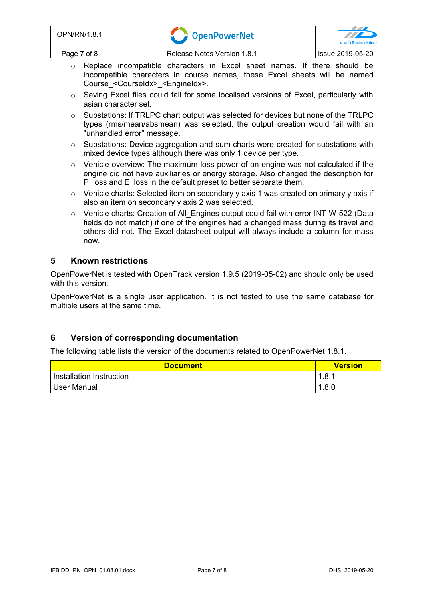| OPN/RN/1.8.1 | <b>COPENDER STATE</b>       | $\mathbb{Z} \mathbb{Z}$<br><b>Institut für Bahntechnik GmbH</b> |
|--------------|-----------------------------|-----------------------------------------------------------------|
| Page 7 of 8  | Release Notes Version 1.8.1 | Issue 2019-05-20                                                |

- o Replace incompatible characters in Excel sheet names. If there should be incompatible characters in course names, these Excel sheets will be named Course\_<CourseIdx>\_<EngineIdx>.
- o Saving Excel files could fail for some localised versions of Excel, particularly with asian character set.
- $\circ$  Substations: If TRLPC chart output was selected for devices but none of the TRLPC types (rms/mean/absmean) was selected, the output creation would fail with an "unhandled error" message.
- o Substations: Device aggregation and sum charts were created for substations with mixed device types although there was only 1 device per type.
- o Vehicle overview: The maximum loss power of an engine was not calculated if the engine did not have auxiliaries or energy storage. Also changed the description for P\_loss and E\_loss in the default preset to better separate them.
- $\circ$  Vehicle charts: Selected item on secondary y axis 1 was created on primary y axis if also an item on secondary y axis 2 was selected.
- o Vehicle charts: Creation of All Engines output could fail with error INT-W-522 (Data fields do not match) if one of the engines had a changed mass during its travel and others did not. The Excel datasheet output will always include a column for mass now.

#### **5 Known restrictions**

OpenPowerNet is tested with OpenTrack version 1.9.5 (2019-05-02) and should only be used with this version.

OpenPowerNet is a single user application. It is not tested to use the same database for multiple users at the same time.

#### **6 Version of corresponding documentation**

The following table lists the version of the documents related to OpenPowerNet 1.8.1.

| <b>Document</b>            | <b>Version</b> |
|----------------------------|----------------|
| I Installation Instruction | 1.8.1          |
| User Manual                | 1.8.0          |